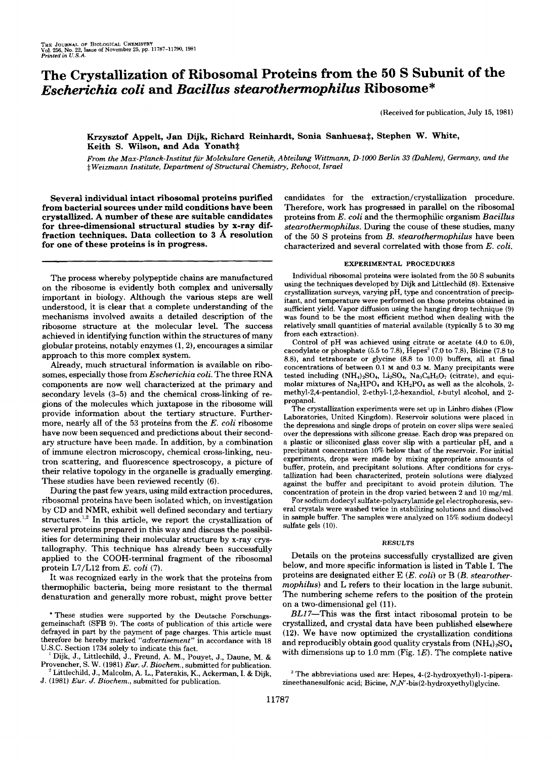# **The Crystallization of Ribosomal Proteins from the 50 S Subunit of the**  *Escherichia coli* **and** *Bacillus stearothermophilus* **Ribosome\***

(Received for publication, July 15, 1981)

## Krzysztof Appelt, Jan Dijk, Richard Reinhardt, Sonia Sanhuesa‡, Stephen W. White, Keith S. Wilson, and Ada Yonath<sup>#</sup>

*From the Max-Planck-Znstitut fur Molekulare Genetik, Abteilung Wittmann, D-lOOO Berlin 33 (Dahlem), Germany, and the*  \$ *Weizmann Institute, Department of Structural Chemistry, Rehouot, Israel* 

**Several individual intact ribosomal proteins purified from bacterial sources under mild conditions have been crystallized. A number of these are suitable candidates**  for three-dimensional structural studies by x-ray diffraction techniques. Data collection to 3 Å resolution **for one of these proteins is in progress.** 

The process whereby polypeptide chains are manufactured on the ribosome is evidently both complex and universally important in biology. Although the various steps are well understood, it is clear that a complete understanding of the mechanisms involved awaits a detailed description of the ribosome structure at the molecular level. The success achieved in identifying function within the structures of many globular proteins, notably enzymes (1,2), encourages a similar approach to this more complex system.

Already, much structural information is available on ribosomes, especially those from *Escherichia coli.* The three RNA components are now well characterized at the primary and secondary levels **(3-5)** and the chemical cross-linking of regions of the molecules which juxtapose in the ribosome will provide information about the tertiary structure. Furthermore, nearly all of the **53** proteins from the *E. coli* ribosome have now been sequenced and predictions about their secondary structure have been made. In addition, by a combination of immune electron microscopy, chemical cross-linking, neutron scattering, and fluorescence spectroscopy, a picture of their relative topology in the organelle is gradually emerging. These studies have been reviewed recently (6).

During the past few years, using mild extraction procedures, ribosomal proteins have been isolated which, on investigation by CD and NMR, exhibit well defined secondary and tertiary structures.<sup>1,2</sup> In this article, we report the crystallization of several proteins prepared in this way and discuss the possibilities for determining their molecular structure by x-ray crystallography. This technique has already been successfully applied to the COOH-terminal fragment of the ribosomal protein L7/L12 from *E. coli* (7).

It was recognized early in the work that the proteins from thermophilic bacteria, being more resistant to the thermal denaturation and generally more robust, might prove better candidates for the extraction/crystallization procedure. Therefore, work has progressed in parallel on the ribosomal proteins from *E. coli* and the thermophilic organism *Bacillus stearothermophilus.* During the come **of** these studies, many of the **50** *S* proteins from *B. stearothermophilus* have been characterized and several correlated with those from *E. coli.* 

#### **EXPERIMENTAL PROCEDURES**

Individual ribosomal proteins were isolated from the 50 S subunits using the techniques developed by Dijk and Littlechild (8). Extensive crystallization surveys, varying pH, type and concentration of precipitant, and temperature were performed on those proteins obtained in sufficient yield. Vapor diffusion using the hanging drop technique (9) was found to be the most efficient method when dealing with the relatively small quantities of material available (typically 5 to 30 mg **from** each extraction).

Control of pH was achieved using citrate or acetate **(4.0** to 6.0), cacodylate or phosphate  $(5.5 \text{ to } 7.8)$ , Hepes<sup>3</sup>  $(7.0 \text{ to } 7.8)$ , Bicine  $(7.8 \text{ to } 7.8)$ 8.8), and tetraborate or glycine (8.8 to 10.0) buffers, all at final concentrations of between 0.1 **M** and 0.3 **M.** Many precipitants were tested including  $(NH_4)_2SO_4$ ,  $Li_2SO_4$ ,  $Na_3C_6H_5O_7$  (citrate), and equimolar mixtures of Na<sub>2</sub>HPO<sub>4</sub> and KH<sub>2</sub>PO<sub>4</sub> as well as the alcohols, 2methy1-2,4-pentandiol, 2-ethyl-1,2-hexandioI, t-butyl alcohol, and 2 propanol.

The crystallization experiments were set up in Linbro dishes (Flow Laboratories, United Kingdom). Reservoir solutions were placed in the depressions and single drops of protein on cover slips were sealed over the depressions with silicone grease. Each drop was prepared on a plastic or siliconized glass cover slip with a particular pH, and a precipitant concentration 10% below that of the reservoir. For initial experiments, drops were made by mixing appropriate amounts of buffer, protein, and precipitant solutions. After conditions for crystallization had been characterized, protein solutions were dialyzed against the buffer and precipitant to avoid protein dilution. The concentration of protein in the drop varied between 2 and 10 mg/ml.

For sodium dodecyl sulfate-polyacrylamide gel electrophoresis, several crystals were washed twice in stabilizing solutions and dissolved in sample buffer. The samples were analyzed on 15% sodium dodecyl sulfate gels (10).

#### **RESULTS**

Details on the proteins successfully crystallized are given below, and more specific information is listed in Table I. The proteins are designated either E *(E. coli)* or B *(B. stearothermophilus)* and L refers to their location in the large subunit. The numbering scheme refers to the position of the protein on a two-dimensional gel (11).

BL17-This was the first intact ribosomal protein to be crystallized, and crystal data have been published elsewhere (12). We have now optimized the crystallization conditions and reproducibly obtain good quality crystals from  $(NH<sub>4</sub>)<sub>2</sub>SO<sub>4</sub>$ with dimensions up to 1.0 mm (Fig.  $1E$ ). The complete native

<sup>\*</sup> These studies were supported by the Deutsche Forschungsgemeinschaft **(SFB** 9). The costs of publication of this article were defrayed in part by the payment of page charges. This article must therefore be hereby marked *"aduertisement"* in accordance with 18 U.S.C. Section 1734 solely to indicate this fact.

<sup>&#</sup>x27; Dijk, J., Littlechild, J., Freund, A. M., Pouyet, J., Daune, M. & Provencher, S. W. (1981) *Eur. J. Biochem.,* submitted for publication.

Littlechild, **J.,** Malcolm, A. L., Paterakis, K., Ackerman, **I.** & Dijk, *J.* (1981) *Eur. J. Biochem.,* submitted for publication.

<sup>&#</sup>x27; The abbreviations used are: Hepes, **4-(2-hydroxyethyl)-l-pipera**zineethanesulfonic acid; Bicine, N,N'-bis(2-hydroxyethyl)glycine.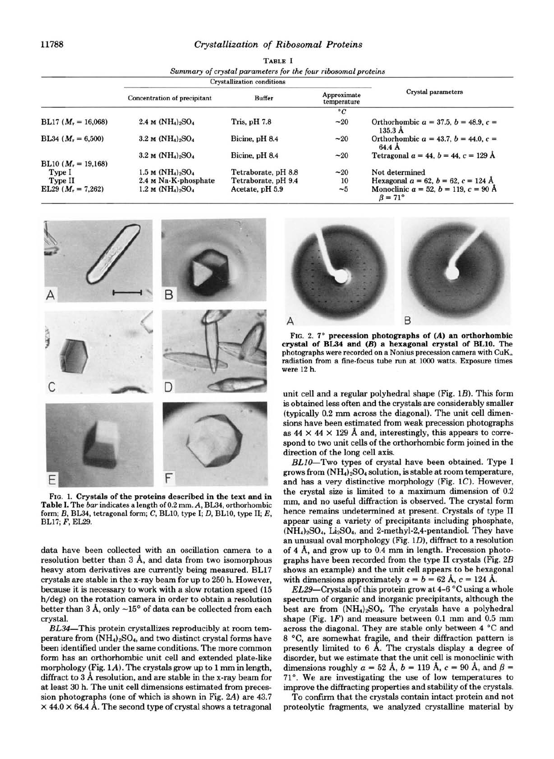## **11788** *Crystallization of Ribosomal Proteins*

| TABLE I                                                       |
|---------------------------------------------------------------|
| Summary of crystal parameters for the four ribosomal proteins |
| Charles and 1980 and the company of the Richards.             |

|                       | <b>Crystallization conditions</b> |                     |                            |                                                                      |
|-----------------------|-----------------------------------|---------------------|----------------------------|----------------------------------------------------------------------|
|                       | Concentration of precipitant      | <b>Buffer</b>       | Approximate<br>temperature | Crystal parameters                                                   |
|                       |                                   |                     | $^{\circ}C$                |                                                                      |
| BL17 $(M_r = 16,068)$ | 2.4 M $(NH_4)_2SO_4$              | Tris, pH 7.8        | $-20$                      | Orthorhombic $a = 37.5$ , $b = 48.9$ , $c =$<br>135.3A               |
| BL34 $(M_r = 6,500)$  | $3.2 \text{ M} (NH_4)_2SO_4$      | Bicine, pH 8.4      | $-20$                      | Orthorhombic $a = 43.7$ , $b = 44.0$ , $c =$<br>64.4 A               |
|                       | 3.2 M $(NH_4)_2SO_4$              | Bicine, pH 8.4      | $-20$                      | Tetragonal $a = 44$ , $b = 44$ , $c = 129$ Å                         |
| BL10 $(M_r = 19,168)$ |                                   |                     |                            |                                                                      |
| Type I                | $1.5 M (NH4)2SO4$                 | Tetraborate, pH 8.8 | $-20$                      | Not determined                                                       |
| Type II               | 2.4 M Na-K-phosphate              | Tetraborate, pH 9.4 | 10                         | Hexagonal $a = 62$ , $b = 62$ , $c = 124$ Å                          |
| EL29 $(M_r = 7,262)$  | $1.2 M (NH4)2SO4$                 | Acetate, pH 5.9     | $\sim\!\!5$                | Monoclinic $a = 52$ , $b = 119$ , $c = 90$ Å<br>$\beta = 71^{\circ}$ |



**FIG. 1. Crystds of** the proteins described in the text and in Table **I. The** *bar* **indicates a length of 0.2 mm.** *A,* **BL34, orthorhombic form;** *B,* **BL34, tetragonal form; C, BL10, type I; D, BL10, type 11;** *E,*  **BL17;** *F,* **EL29.** 

data have been collected with an oscillation camera to a resolution better than **3** A, and data from two isomorphous heavy atom derivatives are currently being measured. **BL17**  crystals are stable in the x-ray beam for up to **250** h. However, because it is necessary to work with a slow rotation speed **(15**  h/deg) on the rotation camera in order to obtain a resolution better than **3** A, only **-15"** of data can be collected from each crystal.

BL34-This protein crystallizes reproducibly at room temperature from  $(NH_4)_2SO_4$ , and two distinct crystal forms have been identified under the same conditions. The more common form has an orthorhombic unit cell and extended plate-like morphology (Fig. **1A).** The crystals grow up to **1** mm in length, diffract to 3 Å resolution, and are stable in the x-ray beam for at least **30** h. The unit cell dimensions estimated from precession photographs (one of which is shown in Fig. **2A)** are **43.7**   $\times$  44.0  $\times$  64.4 Å. The second type of crystal shows a tetragonal



**FIG. 2. 7'** precession photographs **of** *(A)* an orthorhombic crystal **of BL34** and *(B)* a hexagonal crystal **of BL10. The photographs were recorded on a Nonius precession camera with CuK, radiation from a fine-focus tube run at loo0 watts. Exposure times were 12 h.** 

unit cell and a regular polyhedral shape (Fig. **1B).** This form **is** obtained less often and the crystals are considerably smaller (typically **0.2** mm across the diagonal). The unit cell dimensions have been estimated from weak precession photographs as  $44 \times 44 \times 129$  Å and, interestingly, this appears to correspond to two unit cells of the orthorhombic form joined in the direction of the long cell axis.

BLIO-Two types of crystal have been obtained. Type **I**  grows from  $(NH_4)_2SO_4$  solution, is stable at room temperature, and has a very distinctive morphology (Fig. **IC).** However, the crystal size is limited to a maximum dimension of 0.2 mm, and no useful diffraction is observed. The crystal form hence remains undetermined at present. Crystals of type **I1**  appear using a variety of precipitants including phosphate, (NH4)2S04, Li2S04, and **2-methyl-2,4-pentandiol.** They have an unusual oval morphology (Fig. **ID),** diffract to a resolution of **4** A, and grow up to **0.4** mm in length. Precession photographs have been recorded from the type **I1** crystals (Fig. *2B*  shows an example) and the unit cell appears to be hexagonal with dimensions approximately  $a = b = 62$  Å,  $c = 124$  Å.

EL29-Crystals of this protein grow at 4-6 °C using a whole spectrum of organic and inorganic precipitants, although the best are from  $(NH_4)_2SO_4$ . The crystals have a polyhedral shape (Fig. **1F)** and measure between **0.1** mm and **0.5** mm across the diagonal. They are stable only between **4** "C and 8 °C, are somewhat fragile, and their diffraction pattern is presently limited to 6 Å. The crystals display a degree of disorder, but we estimate that the unit cell is monoclinic with dimensions roughly  $a = 52 \text{ Å}$ ,  $b = 119 \text{ Å}$ ,  $c = 90 \text{ Å}$ , and  $\beta =$ **71".** We are investigating the use of low temperatures to improve the diffracting properties and stability of the crystals.

To confirm that the crystals contain intact protein and not proteolytic fragments, we analyzed crystalline material by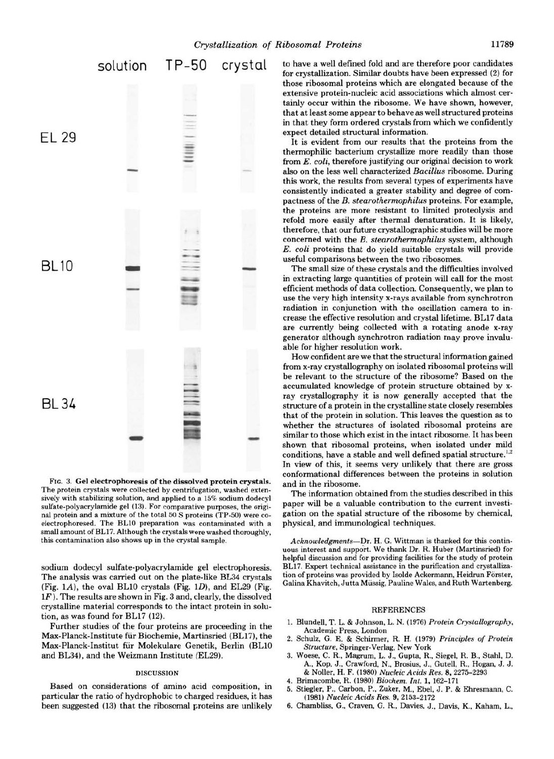

**FIG.** 3. Gel electrophoresis **of** the dissolved protein crystals. The protein crystals were collected by centrifugation, washed extensively with stabilizing solution, and applied to a15% sodium dodecyl sulfate-polyacrylamide gel (13). For comparative purposes, the original protein and a mixture of the total 50 *S* proteins (TP-50) were coelectrophoresed. The BLlO preparation was contaminated with a small amount of BL17. Although the crystals were washed thoroughly, this contamination also shows up in the crystal sample.

sodium dodecyl sulfate-polyacrylamide gel electrophoresis. The analysis was carried out on the plate-like BL34 crystals (Fig. lA), the oval BLlO crystals (Fig. lD), and EL29 (Fig.  $1F$ ). The results are shown in Fig. 3 and, clearly, the dissolved crystalline material corresponds to the intact protein in solution, as was found for BL17 (12).

Further studies of the four proteins are proceeding in the Max-Planck-Institute fir Biochemie, Martinsried (BL17), the Max-Planck-Institut fiir Molekulare Genetik, Berlin (BL10 and BL34), and the Weizmann Institute (EL29).

### **DISCUSSION**

Based on considerations of amino acid composition, in particular the ratio of hydrophobic to charged residues, it has been suggested (13) that the ribosomal proteins are unlikely to have a well defined fold and are therefore poor candidates for crystallization. Similar doubts have been expressed (2) for those ribosomal proteins which are elongated because of the extensive protein-nucleic acid associations which almost certainly occur within the ribosome. We have shown, however, that at least some appear to behave **as** well structured proteins in that they form ordered crystals from which we confidently expect detailed structural information.

It is evident from our results that the proteins from the thermophilic bacterium crystallize more readily than those from *E. coli,* therefore justifying our original decision to work **also** on the less well characterized *Bacillus* ribosome. During this work, the results from several types of experiments have consistently indicated a greater stability and degree of compactness of the *B. stearothermophilus* proteins. For example, the proteins are more resistant to limited proteolysis and refold more easily after thermal denaturation. It is likely, therefore, that our future crystallographic studies will be more concerned with the *B. stearothermophilus* system, although *E. coli* proteins that do yield suitable crystals will provide useful comparisons between the two ribosomes.

The small size of these crystals and the difficulties involved in extracting large quantities of protein will call for the most efficient methods of data collection. Consequently, we plan to use the very high intensity x-rays available from synchrotron radiation in conjunction with the oscillation camera to increase the effective resolution and crystal lifetime. BL17 data are currently being collected with a rotating anode x-ray generator although synchrotron radiation may prove invaluable for higher resolution work.

How confident are we that the structural information gained from x-ray crystallography on isolated ribosomal proteins will be relevant to the structure of the ribosome? Based on the accumulated knowledge of protein structure obtained by xray crystallography it is now generally accepted that the structure of a protein in the crystalline state closely resembles that of the protein in solution. This leaves the question as to whether the structures of isolated ribosomal proteins are similar to those which exist in the intact ribosome. It has been shown that ribosomal proteins, when isolated under mild conditions, have a stable and well defined spatial structure.<sup>1,2</sup> In view of this, it seems very unlikely that there are *gross*  conformational differences between the proteins in solution and in the ribosome.

The information obtained from the studies described in this paper will be a valuable contribution to the current investigation on the spatial structure of the ribosome by chemical, physical, and immunological techniques.

Acknowledgments--Dr. H. G. Wittman is thanked for this contin-<br>uous interest and support. We thank Dr. R. Huber (Martinsried) for helpful discussion and for providing facilities for the study of protein BL17. Expert technical assistance in the purification and crystallization of proteins was provided by Isolde Ackermann, Heidrun Forster, Galina Khavitch, Jutta Miissig, Pauline Wales, and Ruth Wartenberg.

#### REFERENCES

- 1. Blundell, T. L. & Johnson, L. N. (1976) Protein Crystallography, Academic Press, London
- 2. Schulz, *G.* E. & Schirmer, R. H. (1979) Principles *of* Protein Structure, Springer-Verlag. New York
- 3. Woese, C. R., Magrum, L. J., Gupta, R., Siegel, R. B., Stahl, D. A., Kop, J., Crawford, N., Brosius, J., Gutell, R., Hogan, J. J. & Noller, H. F. (1980) Nucleic Acids Res. 8,2275-2293
- **4.** Brimacombe, R. (1980) Biochem. Znt. **1,** 162-171
- 5. Stiegler, P., Carbon, P., Zuker, M., Ebel, J. P. & Ehresmann, C. (1981) Nucleic Acids Res. 9,2153-2172
- **6.** Chambliss, *G.,* Craven, *G.* R., Davies, J., Davis, K., Kaham, L.,